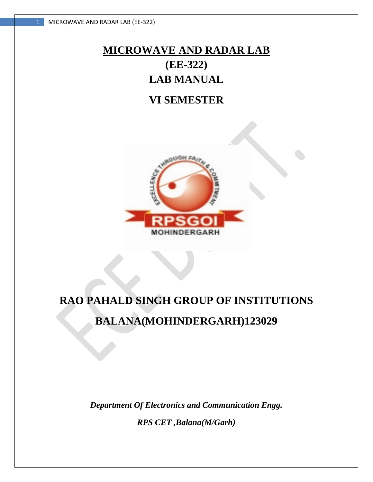# **MICROWAVE AND RADAR LAB (EE-322) LAB MANUAL**

# **VI SEMESTER**



# **RAO PAHALD SINGH GROUP OF INSTITUTIONS BALANA(MOHINDERGARH)123029**

*Department Of Electronics and Communication Engg.*

*RPS CET ,Balana(M/Garh)*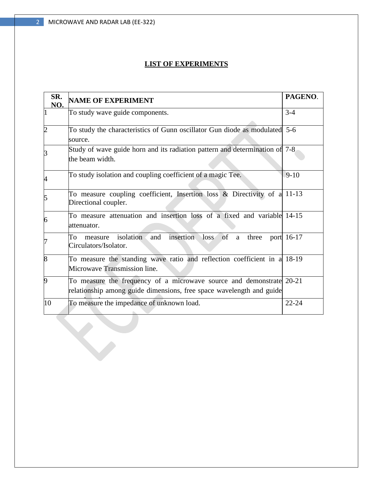S

# **LIST OF EXPERIMENTS**

| SR.<br>NO.     | <b>NAME OF EXPERIMENT</b>                                                                                                                    | PAGENO.    |
|----------------|----------------------------------------------------------------------------------------------------------------------------------------------|------------|
|                | To study wave guide components.                                                                                                              | $3 - 4$    |
| $\overline{c}$ | To study the characteristics of Gunn oscillator Gun diode as modulated 5-6<br>source.                                                        |            |
| 3              | Study of wave guide horn and its radiation pattern and determination of 7-8<br>the beam width.                                               |            |
| 4              | To study isolation and coupling coefficient of a magic Tee.                                                                                  | $9-10$     |
| 5              | To measure coupling coefficient, Insertion loss $\&$ Directivity of a 11-13<br>Directional coupler.                                          |            |
| 6              | To measure attenuation and insertion loss of a fixed and variable 14-15<br>attenuator.                                                       |            |
| 7              | isolation<br>insertion<br>of<br>and<br>loss<br>To<br>three<br>measure<br>a<br>Circulators/Isolator.                                          | port 16-17 |
| 8              | To measure the standing wave ratio and reflection coefficient in a 18-19<br>Microwave Transmission line.                                     |            |
| 9              | To measure the frequency of a microwave source and demonstrate 20-21<br>relationship among guide dimensions, free space wavelength and guide |            |
| 10             | To measure the impedance of unknown load.                                                                                                    | $22 - 24$  |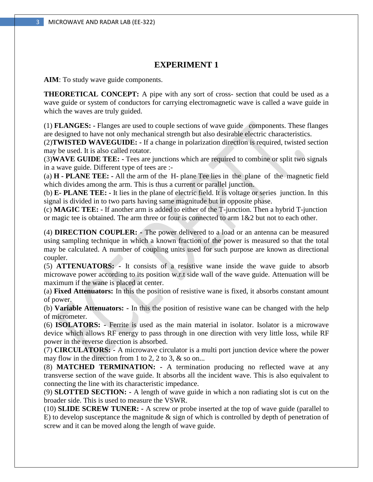**AIM**: To study wave guide components.

**THEORETICAL CONCEPT:** A pipe with any sort of cross- section that could be used as a wave guide or system of conductors for carrying electromagnetic wave is called a wave guide in which the waves are truly guided.

(1) **FLANGES: -** Flanges are used to couple sections of wave guide components. These flanges are designed to have not only mechanical strength but also desirable electric characteristics.

(2)**TWISTED WAVEGUIDE: -** If a change in polarization direction is required, twisted section may be used. It is also called rotator.

(3)**WAVE GUIDE TEE: -** Tees are junctions which are required to combine or split two signals in a wave guide. Different type of tees are :-

(a) **H - PLANE TEE: -** All the arm of the H- plane Tee lies in the plane of the magnetic field which divides among the arm. This is thus a current or parallel junction.

(b) **E- PLANE TEE: -** It lies in the plane of electric field. It is voltage or series junction. In this signal is divided in to two parts having same magnitude but in opposite phase.

(c) **MAGIC TEE: -** If another arm is added to either of the T-junction. Then a hybrid T-junction or magic tee is obtained. The arm three or four is connected to arm 1&2 but not to each other.

(4) **DIRECTION COUPLER: -** The power delivered to a load or an antenna can be measured using sampling technique in which a known fraction of the power is measured so that the total may be calculated. A number of coupling units used for such purpose are known as directional coupler.

(5) **ATTENUATORS: -** It consists of a resistive wane inside the wave guide to absorb microwave power according to its position w.r.t side wall of the wave guide. Attenuation will be maximum if the wane is placed at center.

(a) **Fixed Attenuators:** In this the position of resistive wane is fixed, it absorbs constant amount of power.

(b) **Variable Attenuators: -** In this the position of resistive wane can be changed with the help of micrometer.

(6) **ISOLATORS: -** Ferrite is used as the main material in isolator. Isolator is a microwave device which allows RF energy to pass through in one direction with very little loss, while RF power in the reverse direction is absorbed.

(7) **CIRCULATORS: -** A microwave circulator is a multi port junction device where the power may flow in the direction from 1 to 2, 2 to 3,  $\&$  so on...

(8) **MATCHED TERMINATION: -** A termination producing no reflected wave at any transverse section of the wave guide. It absorbs all the incident wave. This is also equivalent to connecting the line with its characteristic impedance.

(9) **SLOTTED SECTION: -** A length of wave guide in which a non radiating slot is cut on the broader side. This is used to measure the VSWR.

(10) **SLIDE SCREW TUNER: -** A screw or probe inserted at the top of wave guide (parallel to E) to develop susceptance the magnitude  $\&$  sign of which is controlled by depth of penetration of screw and it can be moved along the length of wave guide.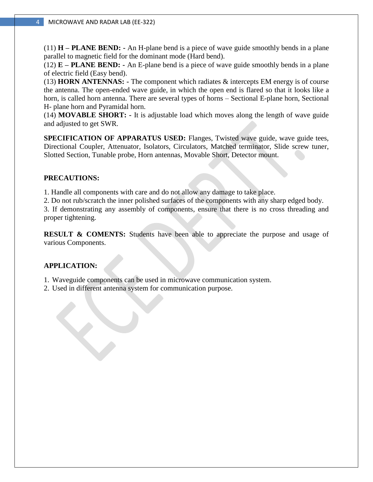(11) **H – PLANE BEND: -** An H-plane bend is a piece of wave guide smoothly bends in a plane parallel to magnetic field for the dominant mode (Hard bend).

(12) **E – PLANE BEND: -** An E-plane bend is a piece of wave guide smoothly bends in a plane of electric field (Easy bend).

(13) **HORN ANTENNAS: -** The component which radiates & intercepts EM energy is of course the antenna. The open-ended wave guide, in which the open end is flared so that it looks like a horn, is called horn antenna. There are several types of horns – Sectional E-plane horn, Sectional H- plane horn and Pyramidal horn.

(14) **MOVABLE SHORT: -** It is adjustable load which moves along the length of wave guide and adjusted to get SWR.

**SPECIFICATION OF APPARATUS USED:** Flanges, Twisted wave guide, wave guide tees, Directional Coupler, Attenuator, Isolators, Circulators, Matched terminator, Slide screw tuner, Slotted Section, Tunable probe, Horn antennas, Movable Short, Detector mount.

#### **PRECAUTIONS:**

1. Handle all components with care and do not allow any damage to take place.

2. Do not rub/scratch the inner polished surfaces of the components with any sharp edged body.

3. If demonstrating any assembly of components, ensure that there is no cross threading and proper tightening.

**RESULT & COMENTS:** Students have been able to appreciate the purpose and usage of various Components.

#### **APPLICATION:**

1. Waveguide components can be used in microwave communication system.

2. Used in different antenna system for communication purpose.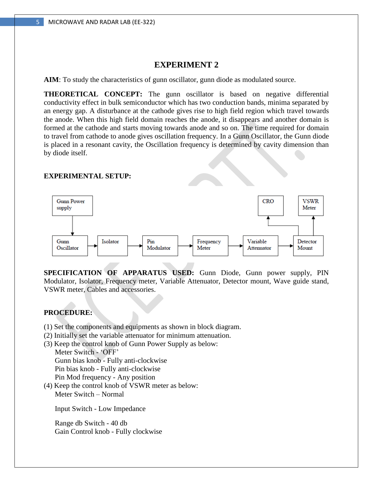**AIM**: To study the characteristics of gunn oscillator, gunn diode as modulated source.

**THEORETICAL CONCEPT:** The gunn oscillator is based on negative differential conductivity effect in bulk semiconductor which has two conduction bands, minima separated by an energy gap. A disturbance at the cathode gives rise to high field region which travel towards the anode. When this high field domain reaches the anode, it disappears and another domain is formed at the cathode and starts moving towards anode and so on. The time required for domain to travel from cathode to anode gives oscillation frequency. In a Gunn Oscillator, the Gunn diode is placed in a resonant cavity, the Oscillation frequency is determined by cavity dimension than by diode itself.

#### **EXPERIMENTAL SETUP:**



**SPECIFICATION OF APPARATUS USED:** Gunn Diode, Gunn power supply, PIN Modulator, Isolator, Frequency meter, Variable Attenuator, Detector mount, Wave guide stand, VSWR meter, Cables and accessories.

#### **PROCEDURE:**

- (1) Set the components and equipments as shown in block diagram.
- (2) Initially set the variable attenuator for minimum attenuation.
- (3) Keep the control knob of Gunn Power Supply as below: Meter Switch - 'OFF'

 Gunn bias knob - Fully anti-clockwise Pin bias knob - Fully anti-clockwise Pin Mod frequency - Any position

(4) Keep the control knob of VSWR meter as below: Meter Switch – Normal

Input Switch - Low Impedance

 Range db Switch - 40 db Gain Control knob - Fully clockwise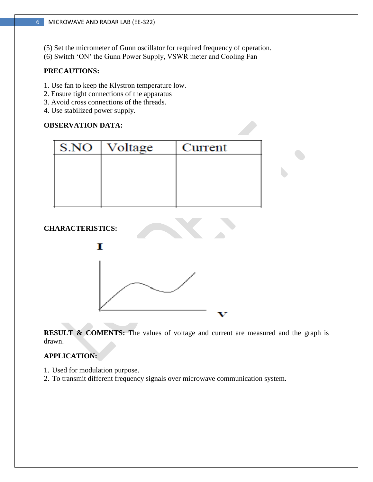- (5) Set the micrometer of Gunn oscillator for required frequency of operation.
- (6) Switch 'ON' the Gunn Power Supply, VSWR meter and Cooling Fan

# **PRECAUTIONS:**

- 1. Use fan to keep the Klystron temperature low.
- 2. Ensure tight connections of the apparatus
- 3. Avoid cross connections of the threads.
- 4. Use stabilized power supply.

# **OBSERVATION DATA:**

| S.NO | Voltage | Current |
|------|---------|---------|
|      |         |         |
|      |         |         |
|      |         |         |
|      |         |         |

# **CHARACTERISTICS:**



**RESULT & COMENTS:** The values of voltage and current are measured and the graph is drawn.

# **APPLICATION:**

- 1. Used for modulation purpose.
- 2. To transmit different frequency signals over microwave communication system.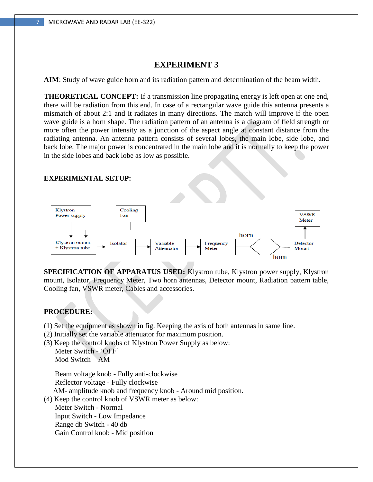**AIM**: Study of wave guide horn and its radiation pattern and determination of the beam width.

**THEORETICAL CONCEPT:** If a transmission line propagating energy is left open at one end, there will be radiation from this end. In case of a rectangular wave guide this antenna presents a mismatch of about 2:1 and it radiates in many directions. The match will improve if the open wave guide is a horn shape. The radiation pattern of an antenna is a diagram of field strength or more often the power intensity as a junction of the aspect angle at constant distance from the radiating antenna. An antenna pattern consists of several lobes, the main lobe, side lobe, and back lobe. The major power is concentrated in the main lobe and it is normally to keep the power in the side lobes and back lobe as low as possible.

#### **EXPERIMENTAL SETUP:**



**SPECIFICATION OF APPARATUS USED:** Klystron tube, Klystron power supply, Klystron mount, Isolator, Frequency Meter, Two horn antennas, Detector mount, Radiation pattern table, Cooling fan, VSWR meter, Cables and accessories.

# **PROCEDURE:**

- (1) Set the equipment as shown in fig. Keeping the axis of both antennas in same line.
- (2) Initially set the variable attenuator for maximum position.
- (3) Keep the control knobs of Klystron Power Supply as below: Meter Switch - 'OFF'

Mod Switch – AM

 Beam voltage knob - Fully anti-clockwise Reflector voltage - Fully clockwise

AM- amplitude knob and frequency knob - Around mid position.

(4) Keep the control knob of VSWR meter as below:

 Meter Switch - Normal Input Switch - Low Impedance Range db Switch - 40 db Gain Control knob - Mid position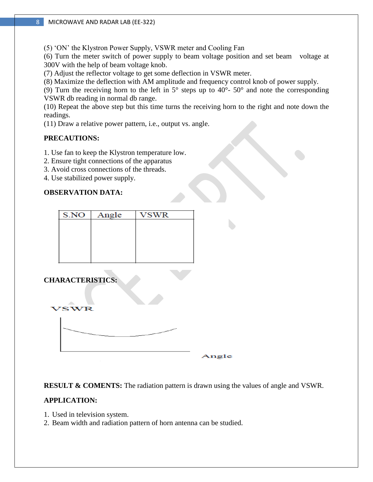(5) 'ON' the Klystron Power Supply, VSWR meter and Cooling Fan

(6) Turn the meter switch of power supply to beam voltage position and set beam voltage at 300V with the help of beam voltage knob.

(7) Adjust the reflector voltage to get some deflection in VSWR meter.

(8) Maximize the deflection with AM amplitude and frequency control knob of power supply.

(9) Turn the receiving horn to the left in  $5^{\circ}$  steps up to  $40^{\circ}$ -  $50^{\circ}$  and note the corresponding VSWR db reading in normal db range.

(10) Repeat the above step but this time turns the receiving horn to the right and note down the readings.

(11) Draw a relative power pattern, i.e., output vs. angle.

# **PRECAUTIONS:**

- 1. Use fan to keep the Klystron temperature low.
- 2. Ensure tight connections of the apparatus
- 3. Avoid cross connections of the threads.
- 4. Use stabilized power supply.

# **OBSERVATION DATA:**

| S.NO | Angle | VSWR |
|------|-------|------|
|      |       |      |
|      |       |      |
|      |       |      |
|      |       |      |
|      |       |      |

# **CHARACTERISTICS:**



Angle

**RESULT & COMENTS:** The radiation pattern is drawn using the values of angle and VSWR.

# **APPLICATION:**

- 1. Used in television system.
- 2. Beam width and radiation pattern of horn antenna can be studied.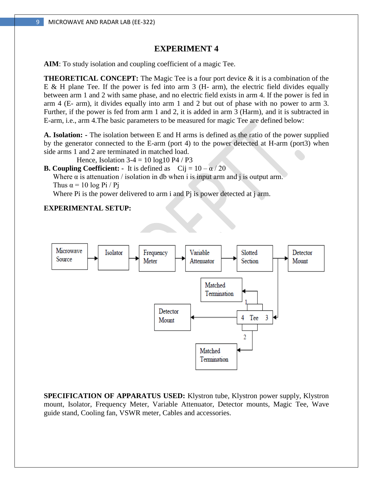**AIM**: To study isolation and coupling coefficient of a magic Tee.

**THEORETICAL CONCEPT:** The Magic Tee is a four port device & it is a combination of the E & H plane Tee. If the power is fed into arm  $3$  (H- arm), the electric field divides equally between arm 1 and 2 with same phase, and no electric field exists in arm 4. If the power is fed in arm 4 (E- arm), it divides equally into arm 1 and 2 but out of phase with no power to arm 3. Further, if the power is fed from arm 1 and 2, it is added in arm 3 (Harm), and it is subtracted in E-arm, i.e., arm 4.The basic parameters to be measured for magic Tee are defined below:

**A. Isolation: -** The isolation between E and H arms is defined as the ratio of the power supplied by the generator connected to the E-arm (port 4) to the power detected at H-arm (port3) when side arms 1 and 2 are terminated in matched load.

Hence, Isolation  $3-4 = 10 \log 10 \text{ P4}$  / P3

**B. Coupling Coefficient:** - It is defined as  $Cij = 10 - \alpha / 20$ 

Where  $\alpha$  is attenuation / isolation in db when i is input arm and j is output arm. Thus  $\alpha = 10 \log \text{Pi} / \text{Pi}$ 

Where Pi is the power delivered to arm i and Pj is power detected at j arm.

#### **EXPERIMENTAL SETUP:**



**SPECIFICATION OF APPARATUS USED:** Klystron tube, Klystron power supply, Klystron mount, Isolator, Frequency Meter, Variable Attenuator, Detector mounts, Magic Tee, Wave guide stand, Cooling fan, VSWR meter, Cables and accessories.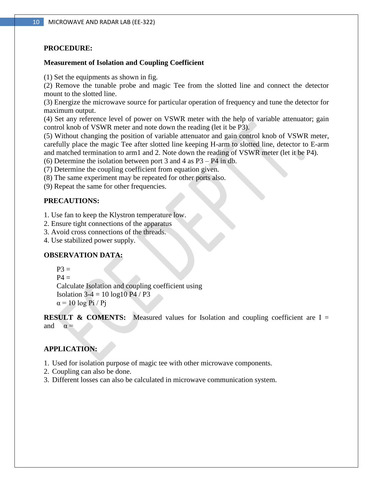# **PROCEDURE:**

#### **Measurement of Isolation and Coupling Coefficient**

(1) Set the equipments as shown in fig.

(2) Remove the tunable probe and magic Tee from the slotted line and connect the detector mount to the slotted line.

(3) Energize the microwave source for particular operation of frequency and tune the detector for maximum output.

(4) Set any reference level of power on VSWR meter with the help of variable attenuator; gain control knob of VSWR meter and note down the reading (let it be P3).

(5) Without changing the position of variable attenuator and gain control knob of VSWR meter, carefully place the magic Tee after slotted line keeping H-arm to slotted line, detector to E-arm and matched termination to arm1 and 2. Note down the reading of VSWR meter (let it be P4).

(6) Determine the isolation between port 3 and 4 as P3 – P4 in db.

(7) Determine the coupling coefficient from equation given.

(8) The same experiment may be repeated for other ports also.

(9) Repeat the same for other frequencies.

# **PRECAUTIONS:**

1. Use fan to keep the Klystron temperature low.

2. Ensure tight connections of the apparatus

3. Avoid cross connections of the threads.

4. Use stabilized power supply.

# **OBSERVATION DATA:**

 $P3 =$ 

 $P4 =$ 

 Calculate Isolation and coupling coefficient using Isolation  $3-4 = 10 \log 10 \text{ P}4 / \text{ P}3$  $\alpha$  = 10 log Pi / Pi

**RESULT & COMENTS:** Measured values for Isolation and coupling coefficient are I = and  $\alpha =$ 

# **APPLICATION:**

1. Used for isolation purpose of magic tee with other microwave components.

- 2. Coupling can also be done.
- 3. Different losses can also be calculated in microwave communication system.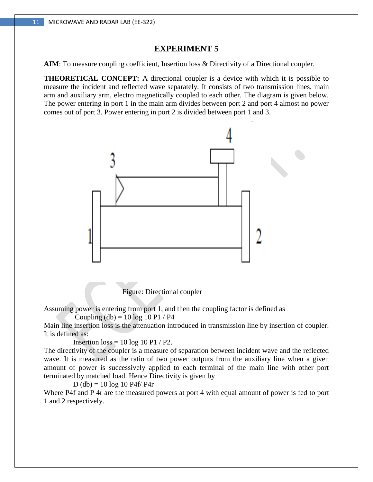**AIM**: To measure coupling coefficient, Insertion loss & Directivity of a Directional coupler.

**THEORETICAL CONCEPT:** A directional coupler is a device with which it is possible to measure the incident and reflected wave separately. It consists of two transmission lines, main arm and auxiliary arm, electro magnetically coupled to each other. The diagram is given below. The power entering in port 1 in the main arm divides between port 2 and port 4 almost no power comes out of port 3. Power entering in port 2 is divided between port 1 and 3.



Figure: Directional coupler

Assuming power is entering from port 1, and then the coupling factor is defined as

Coupling  $(db) = 10 log 10 P1 / P4$ 

Main line insertion loss is the attenuation introduced in transmission line by insertion of coupler. It is defined as:

Insertion  $loss = 10 \log 10 \text{ P1}$  / P2.

The directivity of the coupler is a measure of separation between incident wave and the reflected wave. It is measured as the ratio of two power outputs from the auxiliary line when a given amount of power is successively applied to each terminal of the main line with other port terminated by matched load. Hence Directivity is given by

 $D$  (db) = 10 log 10 P4f/ P4r

Where P4f and P 4r are the measured powers at port 4 with equal amount of power is fed to port 1 and 2 respectively.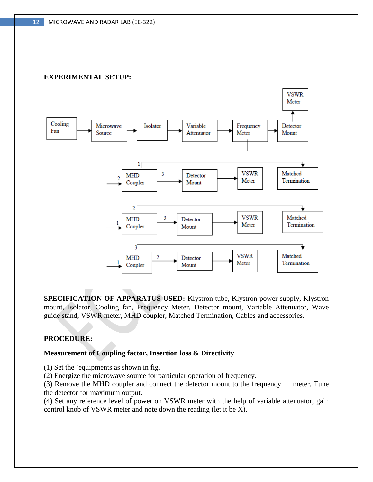# **EXPERIMENTAL SETUP:**



**SPECIFICATION OF APPARATUS USED:** Klystron tube, Klystron power supply, Klystron mount, Isolator, Cooling fan, Frequency Meter, Detector mount, Variable Attenuator, Wave guide stand, VSWR meter, MHD coupler, Matched Termination, Cables and accessories.

#### **PROCEDURE:**

#### **Measurement of Coupling factor, Insertion loss & Directivity**

(1) Set the `equipments as shown in fig.

(2) Energize the microwave source for particular operation of frequency.

(3) Remove the MHD coupler and connect the detector mount to the frequency meter. Tune the detector for maximum output.

(4) Set any reference level of power on VSWR meter with the help of variable attenuator, gain control knob of VSWR meter and note down the reading (let it be X).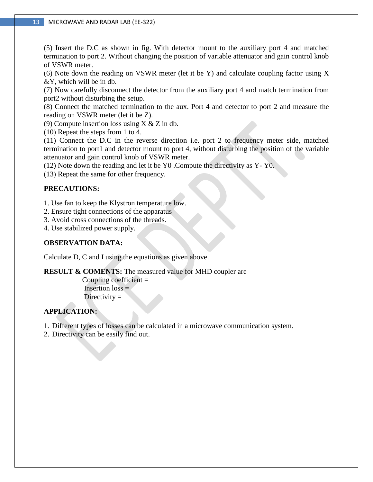(5) Insert the D.C as shown in fig. With detector mount to the auxiliary port 4 and matched termination to port 2. Without changing the position of variable attenuator and gain control knob of VSWR meter.

(6) Note down the reading on VSWR meter (let it be Y) and calculate coupling factor using X &Y, which will be in db.

(7) Now carefully disconnect the detector from the auxiliary port 4 and match termination from port2 without disturbing the setup.

(8) Connect the matched termination to the aux. Port 4 and detector to port 2 and measure the reading on VSWR meter (let it be Z).

(9) Compute insertion loss using X & Z in db.

(10) Repeat the steps from 1 to 4.

(11) Connect the D.C in the reverse direction i.e. port 2 to frequency meter side, matched termination to port1 and detector mount to port 4, without disturbing the position of the variable attenuator and gain control knob of VSWR meter.

(12) Note down the reading and let it be Y0 .Compute the directivity as Y- Y0.

(13) Repeat the same for other frequency.

# **PRECAUTIONS:**

1. Use fan to keep the Klystron temperature low.

- 2. Ensure tight connections of the apparatus
- 3. Avoid cross connections of the threads.

4. Use stabilized power supply.

# **OBSERVATION DATA:**

Calculate D, C and I using the equations as given above.

**RESULT & COMENTS:** The measured value for MHD coupler are

Coupling coefficient  $=$ Insertion  $loss =$ Directivity  $=$ 

# **APPLICATION:**

1. Different types of losses can be calculated in a microwave communication system.

2. Directivity can be easily find out.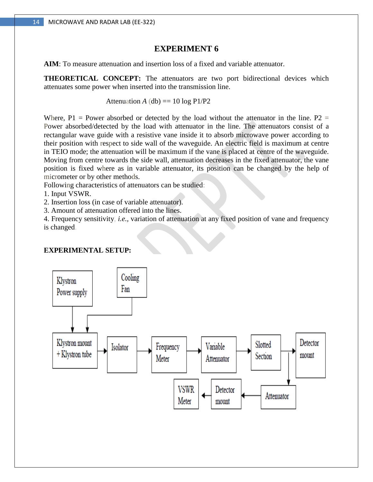**AIM**: To measure attenuation and insertion loss of a fixed and variable attenuator.

**THEORETICAL CONCEPT:** The attenuators are two port bidirectional devices which attenuates some power when inserted into the transmission line.

Attenuation *A* (db) ==  $10 \log P1/P2$ 

Where,  $P1$  = Power absorbed or detected by the load without the attenuator in the line. P2 = Power absorbed/detected by the load with attenuator in the line. The attenuators consist of a rectangular wave guide with a resistive vane inside it to absorb microwave power according to their position with respect to side wall of the waveguide. An electric field is maximum at centre in TEIO mode; the attenuation will be maximum if the vane is placed at centre of the waveguide. Moving from centre towards the side wall, attenuation decreases in the fixed attenuator, the vane position is fixed where as in variable attenuator, its position can be changed by the help of micrometer or by other methods.

Following characteristics of attenuators can be studied:

1. Input VSWR.

2. Insertion loss (in case of variable attenuator).

3. Amount of attenuation offered into the lines.

4. Frequency sensitivity, *i.e.,* variation of attenuation at any fixed position of vane and frequency is changed.

#### **EXPERIMENTAL SETUP:**

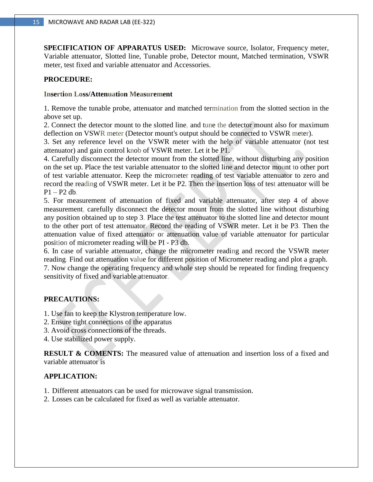**SPECIFICATION OF APPARATUS USED:** Microwave source, Isolator, Frequency meter, Variable attenuator, Slotted line, Tunable probe, Detector mount, Matched termination, VSWR meter, test fixed and variable attenuator and Accessories.

#### **PROCEDURE:**

#### **Insertion Loss/Attenuation Measurement**

1. Remove the tunable probe, attenuator and matched termination from the slotted section in the above set up.

2. Connect the detector mount to the slotted line, and tune the detector mount also for maximum deflection on VSWR meter (Detector mount's output should be connected to VSWR meter).

3. Set any reference level on the VSWR meter with the help of variable attenuator (not test attenuator) and gain control knob of VSWR meter. Let it be P1.

4. Carefully disconnect the detector mount from the slotted line, without disturbing any position on the set up. Place the test variable attenuator to the slotted line and detector mount to other port of test variable attenuator. Keep the micrometer reading of test variable attenuator to zero and record the reading of VSWR meter. Let it be P2. Then the insertion loss of test attenuator will be  $P1 - P2 dh$ .

5. For measurement of attenuation of fixed and variable attenuator, after step 4 of above measurement, carefully disconnect the detector mount from the slotted line without disturbing any position obtained up to step 3. Place the test attenuator to the slotted line and detector mount to the other port of test attenuator. Record the reading of VSWR meter. Let it be P3. Then the attenuation value of fixed attenuator or attenuation value of variable attenuator for particular position of micrometer reading will be PI - P3 db.

6. In case of variable attenuator, change the micrometer reading and record the VSWR meter reading. Find out attenuation value for different position of Micrometer reading and plot a graph. 7. Now change the operating frequency and whole step should be repeated for finding frequency sensitivity of fixed and variable attenuator.

# **PRECAUTIONS:**

- 1. Use fan to keep the Klystron temperature low.
- 2. Ensure tight connections of the apparatus
- 3. Avoid cross connections of the threads.
- 4. Use stabilized power supply.

**RESULT & COMENTS:** The measured value of attenuation and insertion loss of a fixed and variable attenuator is

# **APPLICATION:**

- 1. Different attenuators can be used for microwave signal transmission.
- 2. Losses can be calculated for fixed as well as variable attenuator.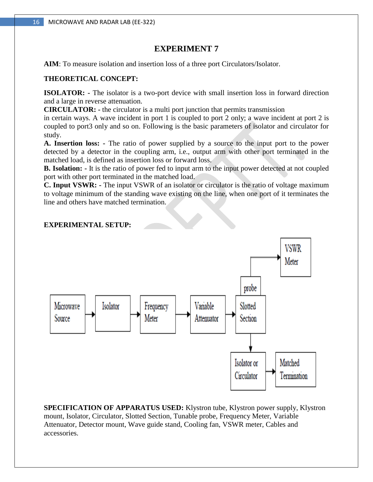**AIM**: To measure isolation and insertion loss of a three port Circulators/Isolator.

#### **THEORETICAL CONCEPT:**

**ISOLATOR: -** The isolator is a two-port device with small insertion loss in forward direction and a large in reverse attenuation.

**CIRCULATOR: -** the circulator is a multi port junction that permits transmission

in certain ways. A wave incident in port 1 is coupled to port 2 only; a wave incident at port 2 is coupled to port3 only and so on. Following is the basic parameters of isolator and circulator for study.

**A. Insertion loss: -** The ratio of power supplied by a source to the input port to the power detected by a detector in the coupling arm, i.e., output arm with other port terminated in the matched load, is defined as insertion loss or forward loss.

**B. Isolation: -** It is the ratio of power fed to input arm to the input power detected at not coupled port with other port terminated in the matched load.

**C. Input VSWR: -** The input VSWR of an isolator or circulator is the ratio of voltage maximum to voltage minimum of the standing wave existing on the line, when one port of it terminates the line and others have matched termination.

#### **EXPERIMENTAL SETUP:**



**SPECIFICATION OF APPARATUS USED:** Klystron tube, Klystron power supply, Klystron mount, Isolator, Circulator, Slotted Section, Tunable probe, Frequency Meter, Variable Attenuator, Detector mount, Wave guide stand, Cooling fan, VSWR meter, Cables and accessories.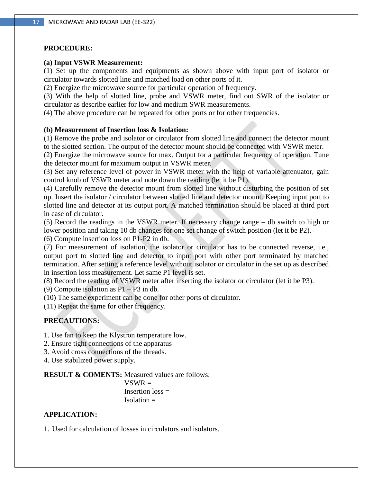#### **PROCEDURE:**

#### **(a) Input VSWR Measurement:**

(1) Set up the components and equipments as shown above with input port of isolator or circulator towards slotted line and matched load on other ports of it.

(2) Energize the microwave source for particular operation of frequency.

(3) With the help of slotted line, probe and VSWR meter, find out SWR of the isolator or circulator as describe earlier for low and medium SWR measurements.

(4) The above procedure can be repeated for other ports or for other frequencies.

#### **(b) Measurement of Insertion loss & Isolation:**

(1) Remove the probe and isolator or circulator from slotted line and connect the detector mount to the slotted section. The output of the detector mount should be connected with VSWR meter.

(2) Energize the microwave source for max. Output for a particular frequency of operation. Tune the detector mount for maximum output in VSWR meter.

(3) Set any reference level of power in VSWR meter with the help of variable attenuator, gain control knob of VSWR meter and note down the reading (let it be P1).

(4) Carefully remove the detector mount from slotted line without disturbing the position of set up. Insert the isolator / circulator between slotted line and detector mount. Keeping input port to slotted line and detector at its output port. A matched termination should be placed at third port in case of circulator.

(5) Record the readings in the VSWR meter. If necessary change range – db switch to high or lower position and taking 10 db changes for one set change of switch position (let it be P2).

(6) Compute insertion loss on P1-P2 in db.

(7) For measurement of isolation, the isolator or circulator has to be connected reverse, i.e., output port to slotted line and detector to input port with other port terminated by matched termination. After setting a reference level without isolator or circulator in the set up as described in insertion loss measurement. Let same P1 level is set.

(8) Record the reading of VSWR meter after inserting the isolator or circulator (let it be P3).

(9) Compute isolation as P1 – P3 in db.

(10) The same experiment can be done for other ports of circulator.

(11) Repeat the same for other frequency.

#### **PRECAUTIONS:**

1. Use fan to keep the Klystron temperature low.

2. Ensure tight connections of the apparatus

3. Avoid cross connections of the threads.

4. Use stabilized power supply.

**RESULT & COMENTS:** Measured values are follows:

 $VSWR =$ Insertion  $loss =$  $Isolation =$ 

#### **APPLICATION:**

1. Used for calculation of losses in circulators and isolators.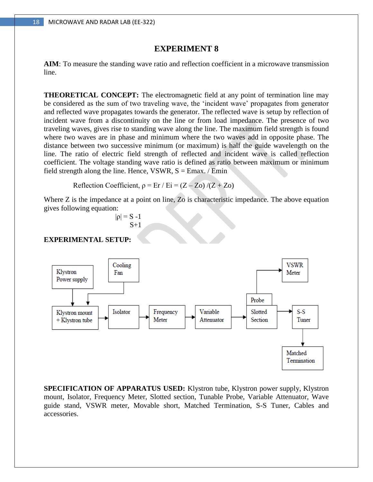**AIM**: To measure the standing wave ratio and reflection coefficient in a microwave transmission line.

**THEORETICAL CONCEPT:** The electromagnetic field at any point of termination line may be considered as the sum of two traveling wave, the 'incident wave' propagates from generator and reflected wave propagates towards the generator. The reflected wave is setup by reflection of incident wave from a discontinuity on the line or from load impedance. The presence of two traveling waves, gives rise to standing wave along the line. The maximum field strength is found where two waves are in phase and minimum where the two waves add in opposite phase. The distance between two successive minimum (or maximum) is half the guide wavelength on the line. The ratio of electric field strength of reflected and incident wave is called reflection coefficient. The voltage standing wave ratio is defined as ratio between maximum or minimum field strength along the line. Hence, VSWR,  $S = Emax. / Emin$ 

**Reflection Coefficient,**  $\rho = Er / Ei = (Z - Zo) / (Z + Zo)$ 

Where Z is the impedance at a point on line, Zo is characteristic impedance. The above equation gives following equation:

$$
|\mathsf{p}| = S - 1
$$
  

$$
S + 1
$$

#### **EXPERIMENTAL SETUP:**



**SPECIFICATION OF APPARATUS USED:** Klystron tube, Klystron power supply, Klystron mount, Isolator, Frequency Meter, Slotted section, Tunable Probe, Variable Attenuator, Wave guide stand, VSWR meter, Movable short, Matched Termination, S-S Tuner, Cables and accessories.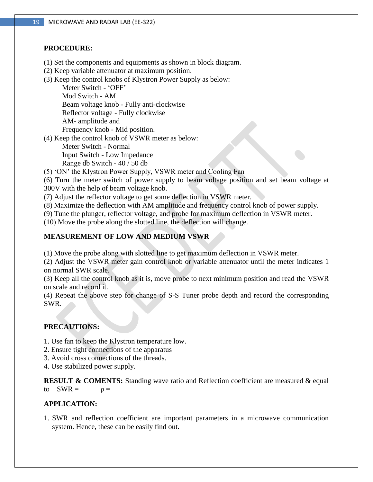#### **PROCEDURE:**

- (1) Set the components and equipments as shown in block diagram.
- (2) Keep variable attenuator at maximum position.
- (3) Keep the control knobs of Klystron Power Supply as below:

 Meter Switch - 'OFF' Mod Switch - AM Beam voltage knob - Fully anti-clockwise Reflector voltage - Fully clockwise AM- amplitude and Frequency knob - Mid position.

(4) Keep the control knob of VSWR meter as below:

 Meter Switch - Normal Input Switch - Low Impedance

Range db Switch - 40 / 50 db

(5) 'ON' the Klystron Power Supply, VSWR meter and Cooling Fan

(6) Turn the meter switch of power supply to beam voltage position and set beam voltage at 300V with the help of beam voltage knob.

(7) Adjust the reflector voltage to get some deflection in VSWR meter.

(8) Maximize the deflection with AM amplitude and frequency control knob of power supply.

(9) Tune the plunger, reflector voltage, and probe for maximum deflection in VSWR meter.

(10) Move the probe along the slotted line, the deflection will change.

# **MEASUREMENT OF LOW AND MEDIUM VSWR**

(1) Move the probe along with slotted line to get maximum deflection in VSWR meter.

(2) Adjust the VSWR meter gain control knob or variable attenuator until the meter indicates 1 on normal SWR scale.

(3) Keep all the control knob as it is, move probe to next minimum position and read the VSWR on scale and record it.

(4) Repeat the above step for change of S-S Tuner probe depth and record the corresponding SWR.

# **PRECAUTIONS:**

1. Use fan to keep the Klystron temperature low.

- 2. Ensure tight connections of the apparatus
- 3. Avoid cross connections of the threads.
- 4. Use stabilized power supply.

**RESULT & COMENTS:** Standing wave ratio and Reflection coefficient are measured & equal to  $SWR = \rho =$ 

# **APPLICATION:**

1. SWR and reflection coefficient are important parameters in a microwave communication system. Hence, these can be easily find out.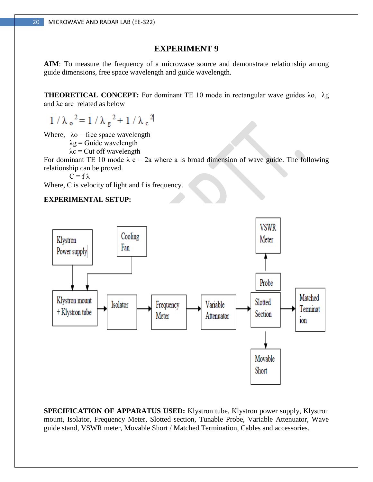**AIM**: To measure the frequency of a microwave source and demonstrate relationship among guide dimensions, free space wavelength and guide wavelength.

**THEORETICAL CONCEPT:** For dominant TE 10 mode in rectangular wave guides λo, λg and λc are related as below

 $1/\lambda_0^2 = 1/\lambda_g^2 + 1/\lambda_c^2$ 

Where,  $\lambda$ <sup>o</sup> = free space wavelength

 $\lambda$ g = Guide wavelength

 $\lambda c$  = Cut off wavelength

For dominant TE 10 mode  $\lambda$  c = 2a where a is broad dimension of wave guide. The following relationship can be proved.

 $C = f \lambda$ 

Where, C is velocity of light and f is frequency.

# **EXPERIMENTAL SETUP:**



**SPECIFICATION OF APPARATUS USED:** Klystron tube, Klystron power supply, Klystron mount, Isolator, Frequency Meter, Slotted section, Tunable Probe, Variable Attenuator, Wave guide stand, VSWR meter, Movable Short / Matched Termination, Cables and accessories.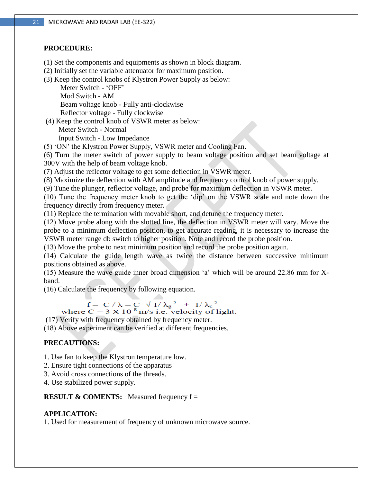#### **PROCEDURE:**

- (1) Set the components and equipments as shown in block diagram.
- (2) Initially set the variable attenuator for maximum position.
- (3) Keep the control knobs of Klystron Power Supply as below:

 Meter Switch - 'OFF' Mod Switch - AM Beam voltage knob - Fully anti-clockwise

Reflector voltage - Fully clockwise

(4) Keep the control knob of VSWR meter as below:

Meter Switch - Normal

Input Switch - Low Impedance

(5) 'ON' the Klystron Power Supply, VSWR meter and Cooling Fan.

(6) Turn the meter switch of power supply to beam voltage position and set beam voltage at 300V with the help of beam voltage knob.

(7) Adjust the reflector voltage to get some deflection in VSWR meter.

(8) Maximize the deflection with AM amplitude and frequency control knob of power supply.

(9) Tune the plunger, reflector voltage, and probe for maximum deflection in VSWR meter.

(10) Tune the frequency meter knob to get the 'dip' on the VSWR scale and note down the frequency directly from frequency meter.

(11) Replace the termination with movable short, and detune the frequency meter.

(12) Move probe along with the slotted line, the deflection in VSWR meter will vary. Move the probe to a minimum deflection position, to get accurate reading, it is necessary to increase the VSWR meter range db switch to higher position. Note and record the probe position.

(13) Move the probe to next minimum position and record the probe position again.

(14) Calculate the guide length wave as twice the distance between successive minimum positions obtained as above.

(15) Measure the wave guide inner broad dimension 'a' which will be around 22.86 mm for Xband.

(16) Calculate the frequency by following equation.

 $f = C / \lambda = C \sqrt{1/\lambda_g^2 + 1/\lambda_c^2}$ <br>where  $C = 3 \times 10^8$  m/s i.e. velocity of light.

(17) Verify with frequency obtained by frequency meter.

(18) Above experiment can be verified at different frequencies.

# **PRECAUTIONS:**

1. Use fan to keep the Klystron temperature low.

2. Ensure tight connections of the apparatus

3. Avoid cross connections of the threads.

4. Use stabilized power supply.

**RESULT & COMENTS:** Measured frequency  $f =$ 

# **APPLICATION:**

1. Used for measurement of frequency of unknown microwave source.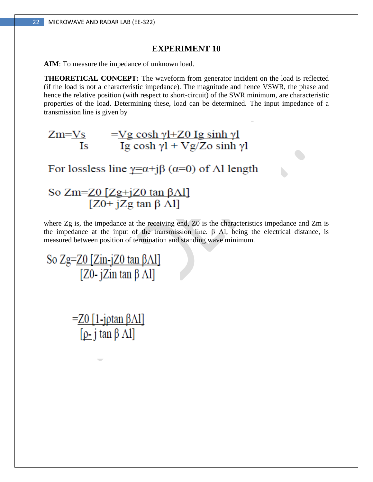**AIM**: To measure the impedance of unknown load.

**THEORETICAL CONCEPT:** The waveform from generator incident on the load is reflected (if the load is not a characteristic impedance). The magnitude and hence VSWR, the phase and hence the relative position (with respect to short-circuit) of the SWR minimum, are characteristic properties of the load. Determining these, load can be determined. The input impedance of a transmission line is given by



For lossless line  $y=a+j\beta$  ( $\alpha=0$ ) of  $\Lambda$ l length

# So Zm=<u>Z0 [Zg+jZ0 tan βΛl]</u>  $[Z0+ iZg \tan \beta \dot{\Lambda}]$

where Zg is, the impedance at the receiving end, Z0 is the characteristics impedance and Zm is the impedance at the input of the transmission line.  $\beta$  Al, being the electrical distance, is measured between position of termination and standing wave minimum.

So Zg=<u>Z0 [Zin-jZ0 tan βΛl]</u> [Z0-  $i\text{Zin}$  tan  $\beta$   $\Lambda$ ]]

> $=$ Z0 [1-jptan  $\beta$ Al]  $[\rho_{-}$  j tan  $\beta$  Al]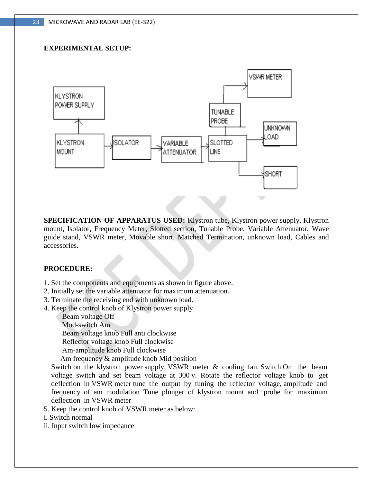# **EXPERIMENTAL SETUP:**



**SPECIFICATION OF APPARATUS USED:** Klystron tube, Klystron power supply, Klystron mount, Isolator, Frequency Meter, Slotted section, Tunable Probe, Variable Attenuator, Wave guide stand, VSWR meter, Movable short, Matched Termination, unknown load, Cables and accessories.

#### **PROCEDURE:**

- 1. Set the components and equipments as shown in figure above.
- 2. Initially set the variable attenuator for maximum attenuation.
- 3. Terminate the receiving end with unknown load.
- 4. Keep the control knob of Klystron power supply

Beam voltage Off

Mod-switch Am

Beam voltage knob Full anti clockwise

Reflector voltage knob Full clockwise

Am-amplitude knob Full clockwise

Am frequency & amplitude knob Mid position

 Switch on the klystron power supply, VSWR meter & cooling fan. Switch On the beam voltage switch and set beam voltage at 300 v. Rotate the reflector voltage knob to get deflection in VSWR meter tune the output by tuning the reflector voltage, amplitude and frequency of am modulation Tune plunger of klystron mount and probe for maximum deflection in VSWR meter

5. Keep the control knob of VSWR meter as below:

i. Switch normal

ii. Input switch low impedance